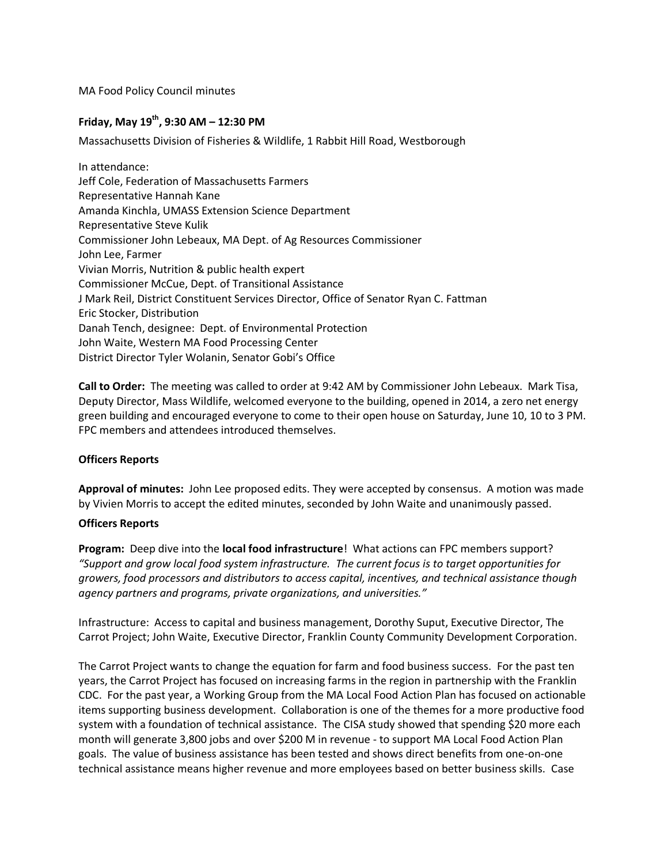MA Food Policy Council minutes

# **Friday, May 19th, 9:30 AM – 12:30 PM**

Massachusetts Division of Fisheries & Wildlife, 1 Rabbit Hill Road, Westborough

In attendance: Jeff Cole, Federation of Massachusetts Farmers Representative Hannah Kane Amanda Kinchla, UMASS Extension Science Department Representative Steve Kulik Commissioner John Lebeaux, MA Dept. of Ag Resources Commissioner John Lee, Farmer Vivian Morris, Nutrition & public health expert Commissioner McCue, Dept. of Transitional Assistance J Mark Reil, District Constituent Services Director, Office of Senator Ryan C. Fattman Eric Stocker, Distribution Danah Tench, designee: Dept. of Environmental Protection John Waite, Western MA Food Processing Center District Director Tyler Wolanin, Senator Gobi's Office

**Call to Order:** The meeting was called to order at 9:42 AM by Commissioner John Lebeaux. Mark Tisa, Deputy Director, Mass Wildlife, welcomed everyone to the building, opened in 2014, a zero net energy green building and encouraged everyone to come to their open house on Saturday, June 10, 10 to 3 PM. FPC members and attendees introduced themselves.

## **Officers Reports**

**Approval of minutes:** John Lee proposed edits. They were accepted by consensus. A motion was made by Vivien Morris to accept the edited minutes, seconded by John Waite and unanimously passed.

## **Officers Reports**

**Program:** Deep dive into the **local food infrastructure**! What actions can FPC members support? *"Support and grow local food system infrastructure. The current focus is to target opportunities for growers, food processors and distributors to access capital, incentives, and technical assistance though agency partners and programs, private organizations, and universities."*

Infrastructure: Access to capital and business management, Dorothy Suput, Executive Director, The Carrot Project; John Waite, Executive Director, Franklin County Community Development Corporation.

The Carrot Project wants to change the equation for farm and food business success. For the past ten years, the Carrot Project has focused on increasing farms in the region in partnership with the Franklin CDC. For the past year, a Working Group from the MA Local Food Action Plan has focused on actionable items supporting business development. Collaboration is one of the themes for a more productive food system with a foundation of technical assistance. The CISA study showed that spending \$20 more each month will generate 3,800 jobs and over \$200 M in revenue - to support MA Local Food Action Plan goals. The value of business assistance has been tested and shows direct benefits from one-on-one technical assistance means higher revenue and more employees based on better business skills. Case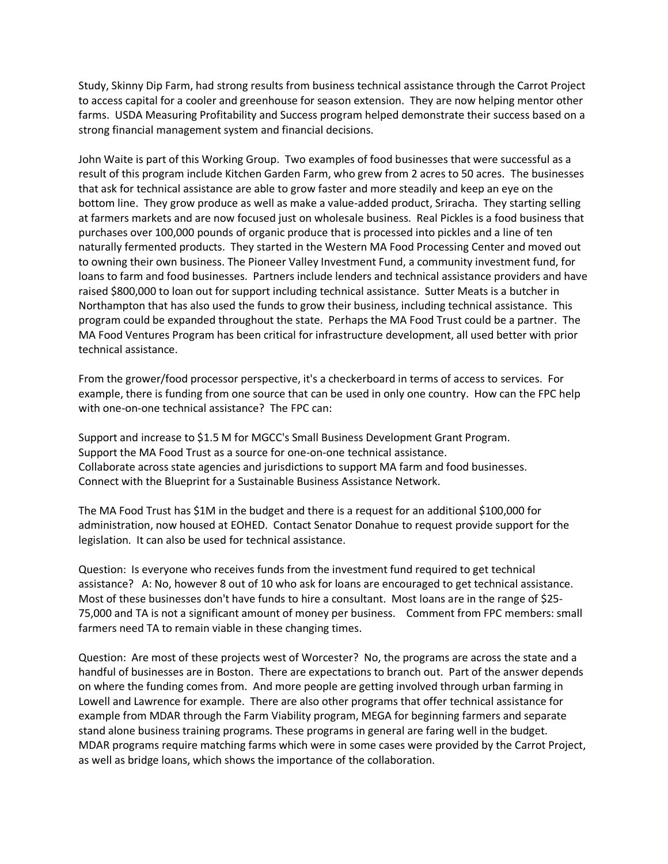Study, Skinny Dip Farm, had strong results from business technical assistance through the Carrot Project to access capital for a cooler and greenhouse for season extension. They are now helping mentor other farms. USDA Measuring Profitability and Success program helped demonstrate their success based on a strong financial management system and financial decisions.

John Waite is part of this Working Group. Two examples of food businesses that were successful as a result of this program include Kitchen Garden Farm, who grew from 2 acres to 50 acres. The businesses that ask for technical assistance are able to grow faster and more steadily and keep an eye on the bottom line. They grow produce as well as make a value-added product, Sriracha. They starting selling at farmers markets and are now focused just on wholesale business. Real Pickles is a food business that purchases over 100,000 pounds of organic produce that is processed into pickles and a line of ten naturally fermented products. They started in the Western MA Food Processing Center and moved out to owning their own business. The Pioneer Valley Investment Fund, a community investment fund, for loans to farm and food businesses. Partners include lenders and technical assistance providers and have raised \$800,000 to loan out for support including technical assistance. Sutter Meats is a butcher in Northampton that has also used the funds to grow their business, including technical assistance. This program could be expanded throughout the state. Perhaps the MA Food Trust could be a partner. The MA Food Ventures Program has been critical for infrastructure development, all used better with prior technical assistance.

From the grower/food processor perspective, it's a checkerboard in terms of access to services. For example, there is funding from one source that can be used in only one country. How can the FPC help with one-on-one technical assistance? The FPC can:

Support and increase to \$1.5 M for MGCC's Small Business Development Grant Program. Support the MA Food Trust as a source for one-on-one technical assistance. Collaborate across state agencies and jurisdictions to support MA farm and food businesses. Connect with the Blueprint for a Sustainable Business Assistance Network.

The MA Food Trust has \$1M in the budget and there is a request for an additional \$100,000 for administration, now housed at EOHED. Contact Senator Donahue to request provide support for the legislation. It can also be used for technical assistance.

Question: Is everyone who receives funds from the investment fund required to get technical assistance? A: No, however 8 out of 10 who ask for loans are encouraged to get technical assistance. Most of these businesses don't have funds to hire a consultant. Most loans are in the range of \$25- 75,000 and TA is not a significant amount of money per business. Comment from FPC members: small farmers need TA to remain viable in these changing times.

Question: Are most of these projects west of Worcester? No, the programs are across the state and a handful of businesses are in Boston. There are expectations to branch out. Part of the answer depends on where the funding comes from. And more people are getting involved through urban farming in Lowell and Lawrence for example. There are also other programs that offer technical assistance for example from MDAR through the Farm Viability program, MEGA for beginning farmers and separate stand alone business training programs. These programs in general are faring well in the budget. MDAR programs require matching farms which were in some cases were provided by the Carrot Project, as well as bridge loans, which shows the importance of the collaboration.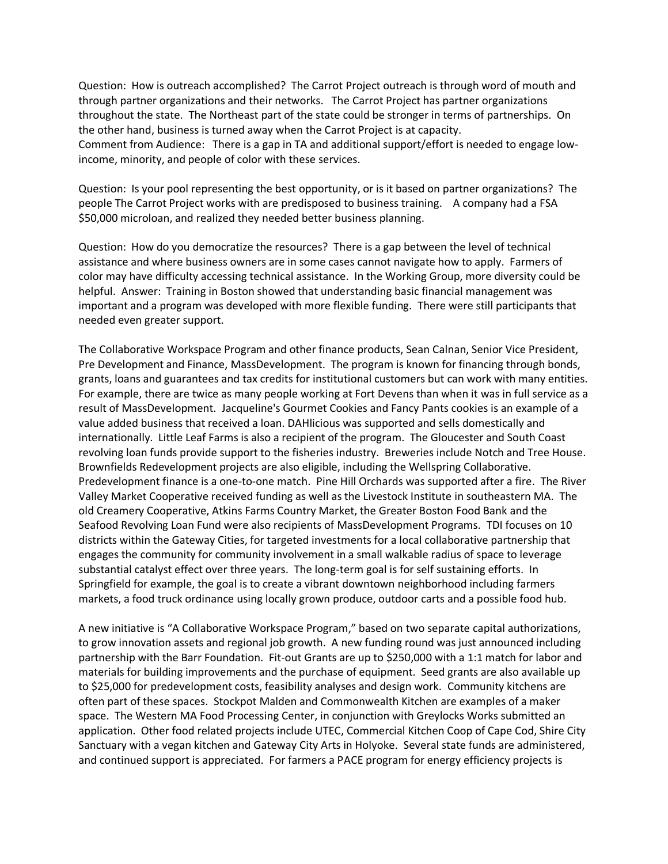Question: How is outreach accomplished? The Carrot Project outreach is through word of mouth and through partner organizations and their networks. The Carrot Project has partner organizations throughout the state. The Northeast part of the state could be stronger in terms of partnerships. On the other hand, business is turned away when the Carrot Project is at capacity. Comment from Audience: There is a gap in TA and additional support/effort is needed to engage lowincome, minority, and people of color with these services.

Question: Is your pool representing the best opportunity, or is it based on partner organizations? The people The Carrot Project works with are predisposed to business training. A company had a FSA \$50,000 microloan, and realized they needed better business planning.

Question: How do you democratize the resources? There is a gap between the level of technical assistance and where business owners are in some cases cannot navigate how to apply. Farmers of color may have difficulty accessing technical assistance. In the Working Group, more diversity could be helpful. Answer: Training in Boston showed that understanding basic financial management was important and a program was developed with more flexible funding. There were still participants that needed even greater support.

The Collaborative Workspace Program and other finance products, Sean Calnan, Senior Vice President, Pre Development and Finance, MassDevelopment. The program is known for financing through bonds, grants, loans and guarantees and tax credits for institutional customers but can work with many entities. For example, there are twice as many people working at Fort Devens than when it was in full service as a result of MassDevelopment. Jacqueline's Gourmet Cookies and Fancy Pants cookies is an example of a value added business that received a loan. DAHlicious was supported and sells domestically and internationally. Little Leaf Farms is also a recipient of the program. The Gloucester and South Coast revolving loan funds provide support to the fisheries industry. Breweries include Notch and Tree House. Brownfields Redevelopment projects are also eligible, including the Wellspring Collaborative. Predevelopment finance is a one-to-one match. Pine Hill Orchards was supported after a fire. The River Valley Market Cooperative received funding as well as the Livestock Institute in southeastern MA. The old Creamery Cooperative, Atkins Farms Country Market, the Greater Boston Food Bank and the Seafood Revolving Loan Fund were also recipients of MassDevelopment Programs. TDI focuses on 10 districts within the Gateway Cities, for targeted investments for a local collaborative partnership that engages the community for community involvement in a small walkable radius of space to leverage substantial catalyst effect over three years. The long-term goal is for self sustaining efforts. In Springfield for example, the goal is to create a vibrant downtown neighborhood including farmers markets, a food truck ordinance using locally grown produce, outdoor carts and a possible food hub.

A new initiative is "A Collaborative Workspace Program," based on two separate capital authorizations, to grow innovation assets and regional job growth. A new funding round was just announced including partnership with the Barr Foundation. Fit-out Grants are up to \$250,000 with a 1:1 match for labor and materials for building improvements and the purchase of equipment. Seed grants are also available up to \$25,000 for predevelopment costs, feasibility analyses and design work. Community kitchens are often part of these spaces. Stockpot Malden and Commonwealth Kitchen are examples of a maker space. The Western MA Food Processing Center, in conjunction with Greylocks Works submitted an application. Other food related projects include UTEC, Commercial Kitchen Coop of Cape Cod, Shire City Sanctuary with a vegan kitchen and Gateway City Arts in Holyoke. Several state funds are administered, and continued support is appreciated. For farmers a PACE program for energy efficiency projects is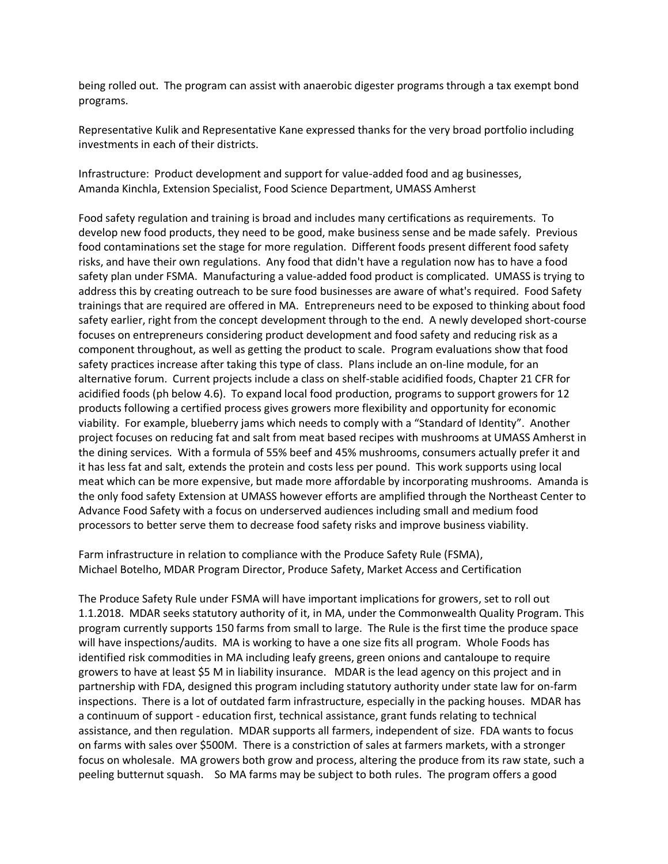being rolled out. The program can assist with anaerobic digester programs through a tax exempt bond programs.

Representative Kulik and Representative Kane expressed thanks for the very broad portfolio including investments in each of their districts.

Infrastructure: Product development and support for value-added food and ag businesses, Amanda Kinchla, Extension Specialist, Food Science Department, UMASS Amherst

Food safety regulation and training is broad and includes many certifications as requirements. To develop new food products, they need to be good, make business sense and be made safely. Previous food contaminations set the stage for more regulation. Different foods present different food safety risks, and have their own regulations. Any food that didn't have a regulation now has to have a food safety plan under FSMA. Manufacturing a value-added food product is complicated. UMASS is trying to address this by creating outreach to be sure food businesses are aware of what's required. Food Safety trainings that are required are offered in MA. Entrepreneurs need to be exposed to thinking about food safety earlier, right from the concept development through to the end. A newly developed short-course focuses on entrepreneurs considering product development and food safety and reducing risk as a component throughout, as well as getting the product to scale. Program evaluations show that food safety practices increase after taking this type of class. Plans include an on-line module, for an alternative forum. Current projects include a class on shelf-stable acidified foods, Chapter 21 CFR for acidified foods (ph below 4.6). To expand local food production, programs to support growers for 12 products following a certified process gives growers more flexibility and opportunity for economic viability. For example, blueberry jams which needs to comply with a "Standard of Identity". Another project focuses on reducing fat and salt from meat based recipes with mushrooms at UMASS Amherst in the dining services. With a formula of 55% beef and 45% mushrooms, consumers actually prefer it and it has less fat and salt, extends the protein and costs less per pound. This work supports using local meat which can be more expensive, but made more affordable by incorporating mushrooms. Amanda is the only food safety Extension at UMASS however efforts are amplified through the Northeast Center to Advance Food Safety with a focus on underserved audiences including small and medium food processors to better serve them to decrease food safety risks and improve business viability.

Farm infrastructure in relation to compliance with the Produce Safety Rule (FSMA), Michael Botelho, MDAR Program Director, Produce Safety, Market Access and Certification

The Produce Safety Rule under FSMA will have important implications for growers, set to roll out 1.1.2018. MDAR seeks statutory authority of it, in MA, under the Commonwealth Quality Program. This program currently supports 150 farms from small to large. The Rule is the first time the produce space will have inspections/audits. MA is working to have a one size fits all program. Whole Foods has identified risk commodities in MA including leafy greens, green onions and cantaloupe to require growers to have at least \$5 M in liability insurance. MDAR is the lead agency on this project and in partnership with FDA, designed this program including statutory authority under state law for on-farm inspections. There is a lot of outdated farm infrastructure, especially in the packing houses. MDAR has a continuum of support - education first, technical assistance, grant funds relating to technical assistance, and then regulation. MDAR supports all farmers, independent of size. FDA wants to focus on farms with sales over \$500M. There is a constriction of sales at farmers markets, with a stronger focus on wholesale. MA growers both grow and process, altering the produce from its raw state, such a peeling butternut squash. So MA farms may be subject to both rules. The program offers a good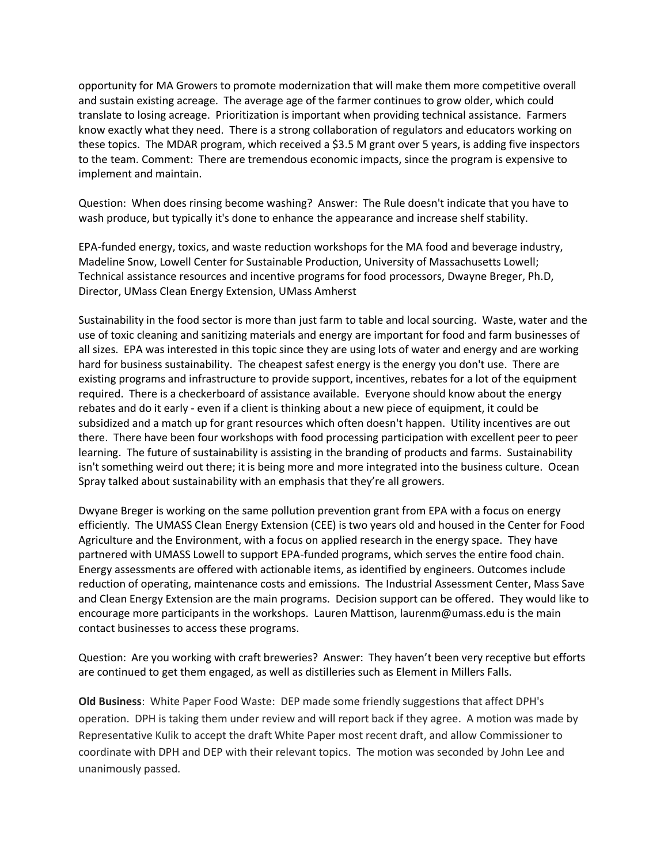opportunity for MA Growers to promote modernization that will make them more competitive overall and sustain existing acreage. The average age of the farmer continues to grow older, which could translate to losing acreage. Prioritization is important when providing technical assistance. Farmers know exactly what they need. There is a strong collaboration of regulators and educators working on these topics. The MDAR program, which received a \$3.5 M grant over 5 years, is adding five inspectors to the team. Comment: There are tremendous economic impacts, since the program is expensive to implement and maintain.

Question: When does rinsing become washing? Answer: The Rule doesn't indicate that you have to wash produce, but typically it's done to enhance the appearance and increase shelf stability.

EPA-funded energy, toxics, and waste reduction workshops for the MA food and beverage industry, Madeline Snow, Lowell Center for Sustainable Production, University of Massachusetts Lowell; Technical assistance resources and incentive programs for food processors, Dwayne Breger, Ph.D, Director, UMass Clean Energy Extension, UMass Amherst

Sustainability in the food sector is more than just farm to table and local sourcing. Waste, water and the use of toxic cleaning and sanitizing materials and energy are important for food and farm businesses of all sizes. EPA was interested in this topic since they are using lots of water and energy and are working hard for business sustainability. The cheapest safest energy is the energy you don't use. There are existing programs and infrastructure to provide support, incentives, rebates for a lot of the equipment required. There is a checkerboard of assistance available. Everyone should know about the energy rebates and do it early - even if a client is thinking about a new piece of equipment, it could be subsidized and a match up for grant resources which often doesn't happen. Utility incentives are out there. There have been four workshops with food processing participation with excellent peer to peer learning. The future of sustainability is assisting in the branding of products and farms. Sustainability isn't something weird out there; it is being more and more integrated into the business culture. Ocean Spray talked about sustainability with an emphasis that they're all growers.

Dwyane Breger is working on the same pollution prevention grant from EPA with a focus on energy efficiently. The UMASS Clean Energy Extension (CEE) is two years old and housed in the Center for Food Agriculture and the Environment, with a focus on applied research in the energy space. They have partnered with UMASS Lowell to support EPA-funded programs, which serves the entire food chain. Energy assessments are offered with actionable items, as identified by engineers. Outcomes include reduction of operating, maintenance costs and emissions. The Industrial Assessment Center, Mass Save and Clean Energy Extension are the main programs. Decision support can be offered. They would like to encourage more participants in the workshops. Lauren Mattison, laurenm@umass.edu is the main contact businesses to access these programs.

Question: Are you working with craft breweries? Answer: They haven't been very receptive but efforts are continued to get them engaged, as well as distilleries such as Element in Millers Falls.

**Old Business**: White Paper Food Waste: DEP made some friendly suggestions that affect DPH's operation. DPH is taking them under review and will report back if they agree. A motion was made by Representative Kulik to accept the draft White Paper most recent draft, and allow Commissioner to coordinate with DPH and DEP with their relevant topics. The motion was seconded by John Lee and unanimously passed.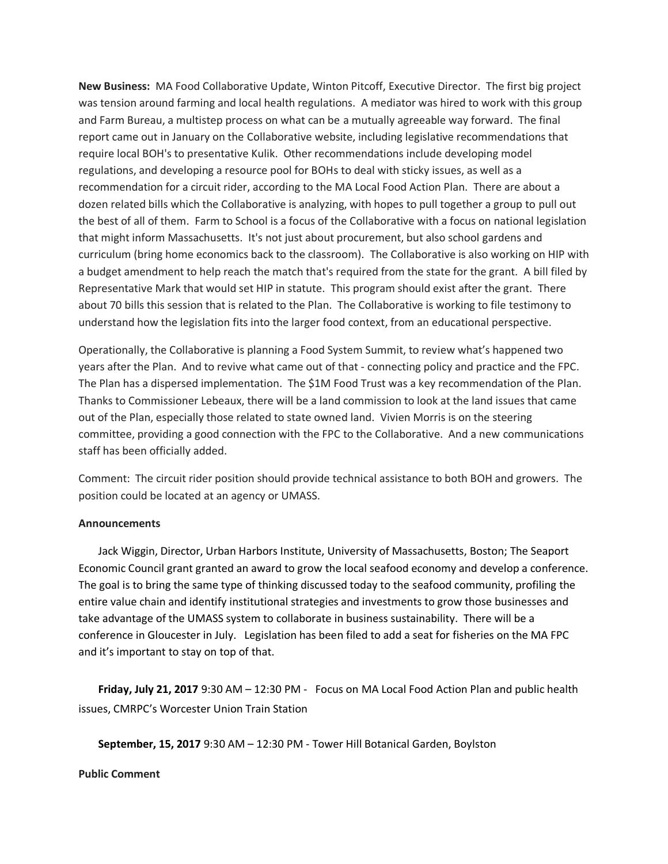**New Business:** MA Food Collaborative Update, Winton Pitcoff, Executive Director. The first big project was tension around farming and local health regulations. A mediator was hired to work with this group and Farm Bureau, a multistep process on what can be a mutually agreeable way forward. The final report came out in January on the Collaborative website, including legislative recommendations that require local BOH's to presentative Kulik. Other recommendations include developing model regulations, and developing a resource pool for BOHs to deal with sticky issues, as well as a recommendation for a circuit rider, according to the MA Local Food Action Plan. There are about a dozen related bills which the Collaborative is analyzing, with hopes to pull together a group to pull out the best of all of them. Farm to School is a focus of the Collaborative with a focus on national legislation that might inform Massachusetts. It's not just about procurement, but also school gardens and curriculum (bring home economics back to the classroom). The Collaborative is also working on HIP with a budget amendment to help reach the match that's required from the state for the grant. A bill filed by Representative Mark that would set HIP in statute. This program should exist after the grant. There about 70 bills this session that is related to the Plan. The Collaborative is working to file testimony to understand how the legislation fits into the larger food context, from an educational perspective.

Operationally, the Collaborative is planning a Food System Summit, to review what's happened two years after the Plan. And to revive what came out of that - connecting policy and practice and the FPC. The Plan has a dispersed implementation. The \$1M Food Trust was a key recommendation of the Plan. Thanks to Commissioner Lebeaux, there will be a land commission to look at the land issues that came out of the Plan, especially those related to state owned land. Vivien Morris is on the steering committee, providing a good connection with the FPC to the Collaborative. And a new communications staff has been officially added.

Comment: The circuit rider position should provide technical assistance to both BOH and growers. The position could be located at an agency or UMASS.

## **Announcements**

Jack Wiggin, Director, Urban Harbors Institute, University of Massachusetts, Boston; The Seaport Economic Council grant granted an award to grow the local seafood economy and develop a conference. The goal is to bring the same type of thinking discussed today to the seafood community, profiling the entire value chain and identify institutional strategies and investments to grow those businesses and take advantage of the UMASS system to collaborate in business sustainability. There will be a conference in Gloucester in July. Legislation has been filed to add a seat for fisheries on the MA FPC and it's important to stay on top of that.

**Friday, July 21, 2017** 9:30 AM – 12:30 PM - Focus on MA Local Food Action Plan and public health issues, CMRPC's Worcester Union Train Station

**September, 15, 2017** 9:30 AM – 12:30 PM - Tower Hill Botanical Garden, Boylston

## **Public Comment**